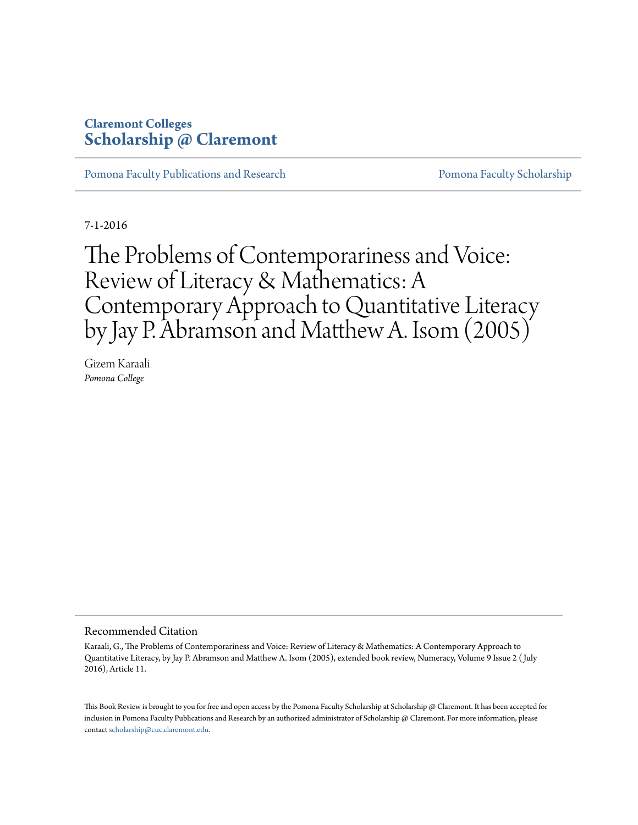#### **Claremont Colleges [Scholarship @ Claremont](http://scholarship.claremont.edu)**

[Pomona Faculty Publications and Research](http://scholarship.claremont.edu/pomona_fac_pub) **[Pomona Faculty Scholarship](http://scholarship.claremont.edu/pomona_faculty)** 

7-1-2016

The Problems of Contemporariness and Voice: Review of Literacy & Mathematics: A Contemporary Approach to Quantitative Literacy by Jay P. Abramson and Matthew A. Isom (2005)

Gizem Karaali *Pomona College*

#### Recommended Citation

Karaali, G., The Problems of Contemporariness and Voice: Review of Literacy & Mathematics: A Contemporary Approach to Quantitative Literacy, by Jay P. Abramson and Matthew A. Isom (2005), extended book review, Numeracy, Volume 9 Issue 2 ( July 2016), Article 11.

This Book Review is brought to you for free and open access by the Pomona Faculty Scholarship at Scholarship @ Claremont. It has been accepted for inclusion in Pomona Faculty Publications and Research by an authorized administrator of Scholarship @ Claremont. For more information, please contact [scholarship@cuc.claremont.edu](mailto:scholarship@cuc.claremont.edu).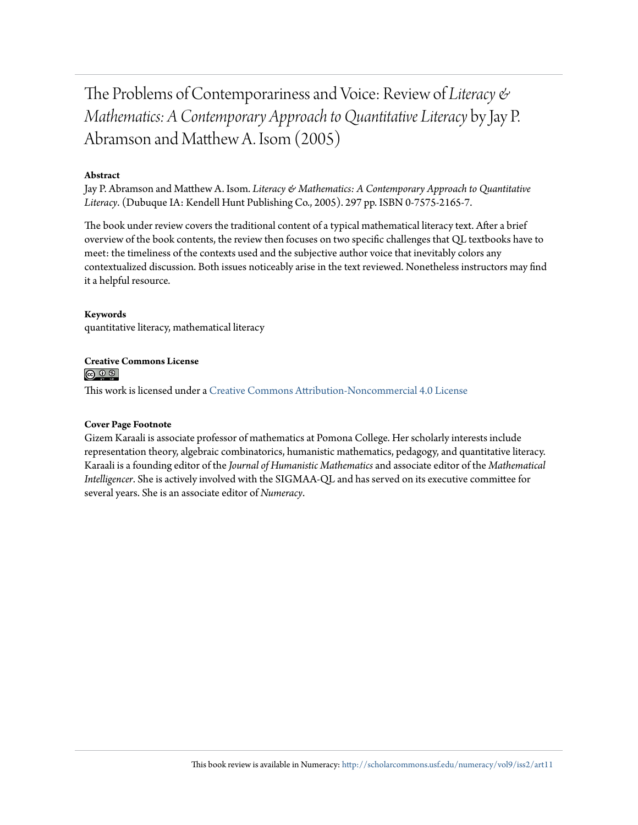The Problems of Contemporariness and Voice: Review of *Literacy & Mathematics: A Contemporary Approach to Quantitative Literacy* by Jay P. Abramson and Matthew A. Isom (2005)

#### **Abstract**

Jay P. Abramson and Matthew A. Isom. *Literacy & Mathematics: A Contemporary Approach to Quantitative Literacy*. (Dubuque IA: Kendell Hunt Publishing Co., 2005). 297 pp. ISBN 0-7575-2165-7.

The book under review covers the traditional content of a typical mathematical literacy text. After a brief overview of the book contents, the review then focuses on two specific challenges that QL textbooks have to meet: the timeliness of the contexts used and the subjective author voice that inevitably colors any contextualized discussion. Both issues noticeably arise in the text reviewed. Nonetheless instructors may find it a helpful resource.

#### **Keywords**

quantitative literacy, mathematical literacy

#### **Creative Commons License**  $\circledcirc$

This work is licensed under a [Creative Commons Attribution-Noncommercial 4.0 License](http://creativecommons.org/licenses/by-nc/4.0/legalcode)

#### **Cover Page Footnote**

Gizem Karaali is associate professor of mathematics at Pomona College. Her scholarly interests include representation theory, algebraic combinatorics, humanistic mathematics, pedagogy, and quantitative literacy. Karaali is a founding editor of the *Journal of Humanistic Mathematics* and associate editor of the *Mathematical Intelligencer*. She is actively involved with the SIGMAA-QL and has served on its executive committee for several years. She is an associate editor of *Numeracy*.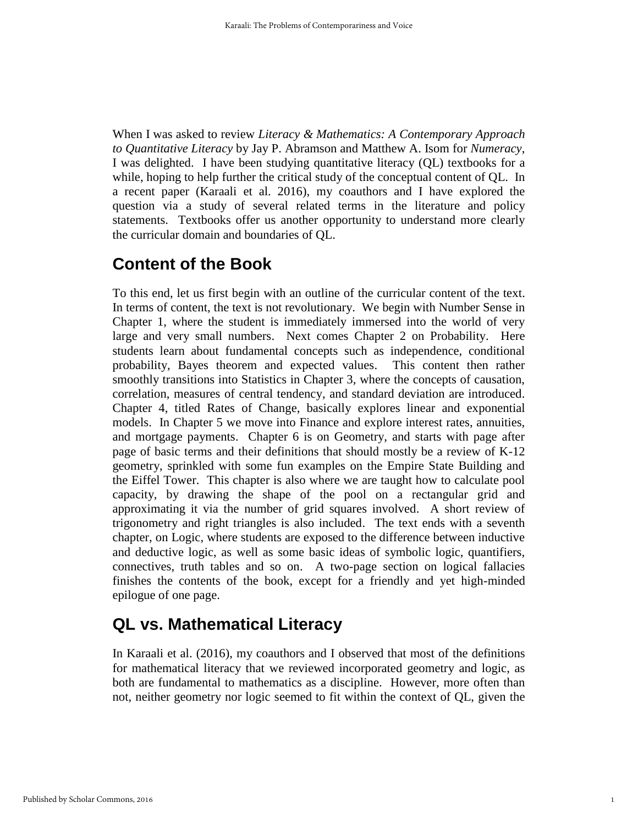When I was asked to review *Literacy & Mathematics: A Contemporary Approach to Quantitative Literacy* by Jay P. Abramson and Matthew A. Isom for *Numeracy*, I was delighted. I have been studying quantitative literacy (QL) textbooks for a while, hoping to help further the critical study of the conceptual content of QL. In a recent paper (Karaali et al. 2016), my coauthors and I have explored the question via a study of several related terms in the literature and policy statements. Textbooks offer us another opportunity to understand more clearly the curricular domain and boundaries of QL.

## **Content of the Book**

To this end, let us first begin with an outline of the curricular content of the text. In terms of content, the text is not revolutionary. We begin with Number Sense in Chapter 1, where the student is immediately immersed into the world of very large and very small numbers. Next comes Chapter 2 on Probability. Here students learn about fundamental concepts such as independence, conditional probability, Bayes theorem and expected values. This content then rather smoothly transitions into Statistics in Chapter 3, where the concepts of causation, correlation, measures of central tendency, and standard deviation are introduced. Chapter 4, titled Rates of Change, basically explores linear and exponential models. In Chapter 5 we move into Finance and explore interest rates, annuities, and mortgage payments. Chapter 6 is on Geometry, and starts with page after page of basic terms and their definitions that should mostly be a review of K-12 geometry, sprinkled with some fun examples on the Empire State Building and the Eiffel Tower. This chapter is also where we are taught how to calculate pool capacity, by drawing the shape of the pool on a rectangular grid and approximating it via the number of grid squares involved. A short review of trigonometry and right triangles is also included. The text ends with a seventh chapter, on Logic, where students are exposed to the difference between inductive and deductive logic, as well as some basic ideas of symbolic logic, quantifiers, connectives, truth tables and so on. A two-page section on logical fallacies finishes the contents of the book, except for a friendly and yet high-minded epilogue of one page.

# **QL vs. Mathematical Literacy**

In Karaali et al. (2016), my coauthors and I observed that most of the definitions for mathematical literacy that we reviewed incorporated geometry and logic, as both are fundamental to mathematics as a discipline. However, more often than not, neither geometry nor logic seemed to fit within the context of QL, given the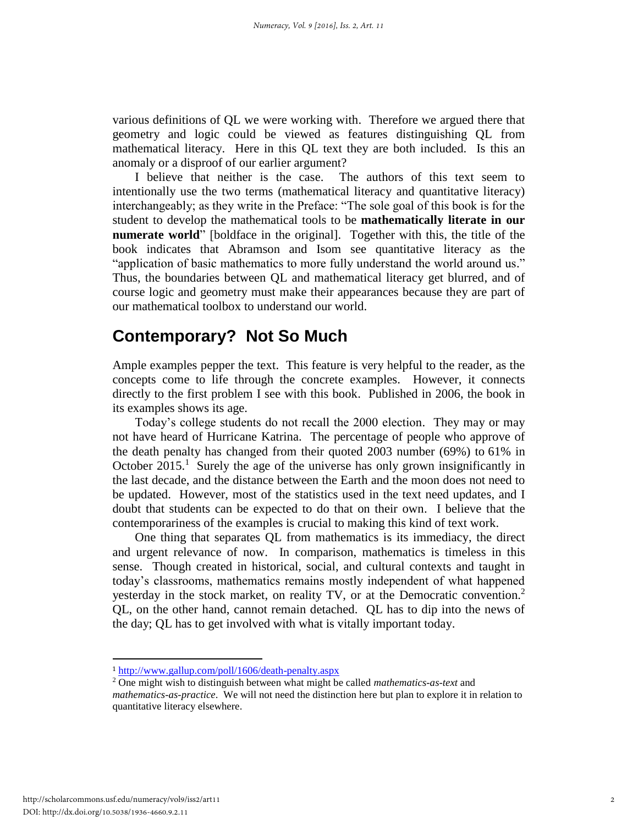various definitions of QL we were working with. Therefore we argued there that geometry and logic could be viewed as features distinguishing QL from mathematical literacy. Here in this QL text they are both included. Is this an anomaly or a disproof of our earlier argument?

I believe that neither is the case. The authors of this text seem to intentionally use the two terms (mathematical literacy and quantitative literacy) interchangeably; as they write in the Preface: "The sole goal of this book is for the student to develop the mathematical tools to be **mathematically literate in our numerate world**" [boldface in the original]. Together with this, the title of the book indicates that Abramson and Isom see quantitative literacy as the "application of basic mathematics to more fully understand the world around us." Thus, the boundaries between QL and mathematical literacy get blurred, and of course logic and geometry must make their appearances because they are part of our mathematical toolbox to understand our world.

### **Contemporary? Not So Much**

Ample examples pepper the text. This feature is very helpful to the reader, as the concepts come to life through the concrete examples. However, it connects directly to the first problem I see with this book. Published in 2006, the book in its examples shows its age.

Today's college students do not recall the 2000 election. They may or may not have heard of Hurricane Katrina. The percentage of people who approve of the death penalty has changed from their quoted 2003 number (69%) to 61% in October  $2015<sup>1</sup>$  Surely the age of the universe has only grown insignificantly in the last decade, and the distance between the Earth and the moon does not need to be updated. However, most of the statistics used in the text need updates, and I doubt that students can be expected to do that on their own. I believe that the contemporariness of the examples is crucial to making this kind of text work.

One thing that separates QL from mathematics is its immediacy, the direct and urgent relevance of now. In comparison, mathematics is timeless in this sense. Though created in historical, social, and cultural contexts and taught in today's classrooms, mathematics remains mostly independent of what happened yesterday in the stock market, on reality TV, or at the Democratic convention.<sup>2</sup> QL, on the other hand, cannot remain detached. QL has to dip into the news of the day; QL has to get involved with what is vitally important today.

 $\overline{\phantom{a}}$ 

<sup>1</sup> <http://www.gallup.com/poll/1606/death-penalty.aspx>

<sup>2</sup> One might wish to distinguish between what might be called *mathematics-as-text* and *mathematics-as-practice*. We will not need the distinction here but plan to explore it in relation to quantitative literacy elsewhere.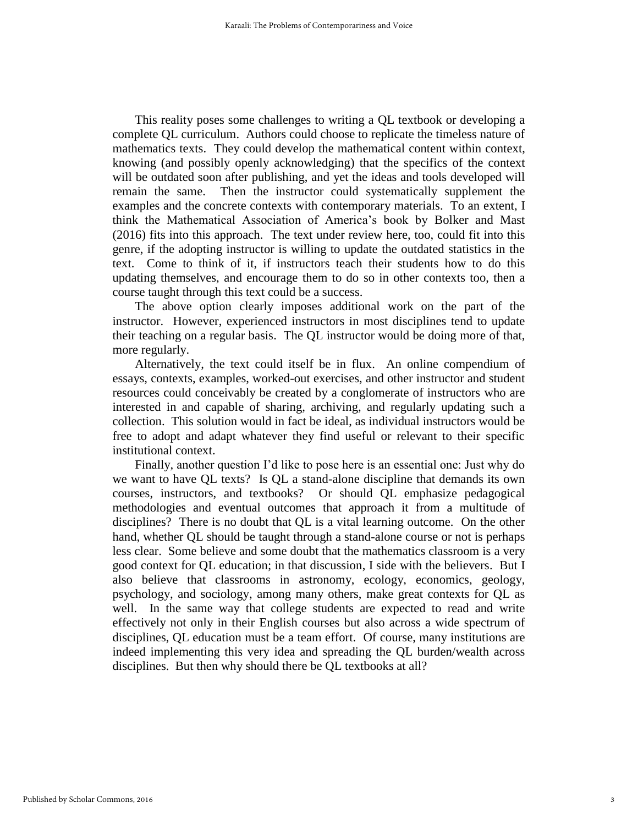This reality poses some challenges to writing a QL textbook or developing a complete QL curriculum. Authors could choose to replicate the timeless nature of mathematics texts. They could develop the mathematical content within context, knowing (and possibly openly acknowledging) that the specifics of the context will be outdated soon after publishing, and yet the ideas and tools developed will remain the same. Then the instructor could systematically supplement the examples and the concrete contexts with contemporary materials. To an extent, I think the Mathematical Association of America's book by Bolker and Mast (2016) fits into this approach. The text under review here, too, could fit into this genre, if the adopting instructor is willing to update the outdated statistics in the text. Come to think of it, if instructors teach their students how to do this updating themselves, and encourage them to do so in other contexts too, then a course taught through this text could be a success.

The above option clearly imposes additional work on the part of the instructor. However, experienced instructors in most disciplines tend to update their teaching on a regular basis. The QL instructor would be doing more of that, more regularly.

Alternatively, the text could itself be in flux. An online compendium of essays, contexts, examples, worked-out exercises, and other instructor and student resources could conceivably be created by a conglomerate of instructors who are interested in and capable of sharing, archiving, and regularly updating such a collection. This solution would in fact be ideal, as individual instructors would be free to adopt and adapt whatever they find useful or relevant to their specific institutional context.

Finally, another question I'd like to pose here is an essential one: Just why do we want to have QL texts? Is QL a stand-alone discipline that demands its own courses, instructors, and textbooks? Or should QL emphasize pedagogical methodologies and eventual outcomes that approach it from a multitude of disciplines? There is no doubt that QL is a vital learning outcome. On the other hand, whether QL should be taught through a stand-alone course or not is perhaps less clear. Some believe and some doubt that the mathematics classroom is a very good context for QL education; in that discussion, I side with the believers. But I also believe that classrooms in astronomy, ecology, economics, geology, psychology, and sociology, among many others, make great contexts for QL as well. In the same way that college students are expected to read and write effectively not only in their English courses but also across a wide spectrum of disciplines, QL education must be a team effort. Of course, many institutions are indeed implementing this very idea and spreading the QL burden/wealth across disciplines. But then why should there be QL textbooks at all?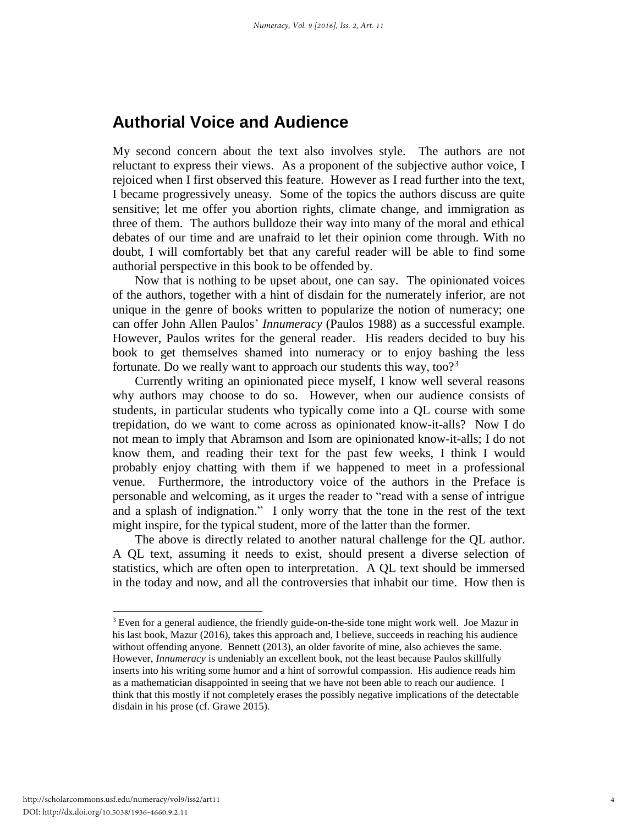### **Authorial Voice and Audience**

My second concern about the text also involves style. The authors are not reluctant to express their views. As a proponent of the subjective author voice, I rejoiced when I first observed this feature. However as I read further into the text, I became progressively uneasy. Some of the topics the authors discuss are quite sensitive; let me offer you abortion rights, climate change, and immigration as three of them. The authors bulldoze their way into many of the moral and ethical debates of our time and are unafraid to let their opinion come through. With no doubt, I will comfortably bet that any careful reader will be able to find some authorial perspective in this book to be offended by.

Now that is nothing to be upset about, one can say. The opinionated voices of the authors, together with a hint of disdain for the numerately inferior, are not unique in the genre of books written to popularize the notion of numeracy; one can offer John Allen Paulos' *Innumeracy* (Paulos 1988) as a successful example. However, Paulos writes for the general reader. His readers decided to buy his book to get themselves shamed into numeracy or to enjoy bashing the less fortunate. Do we really want to approach our students this way, too?<sup>3</sup>

Currently writing an opinionated piece myself, I know well several reasons why authors may choose to do so. However, when our audience consists of students, in particular students who typically come into a QL course with some trepidation, do we want to come across as opinionated know-it-alls? Now I do not mean to imply that Abramson and Isom are opinionated know-it-alls; I do not know them, and reading their text for the past few weeks, I think I would probably enjoy chatting with them if we happened to meet in a professional venue. Furthermore, the introductory voice of the authors in the Preface is personable and welcoming, as it urges the reader to "read with a sense of intrigue and a splash of indignation." I only worry that the tone in the rest of the text might inspire, for the typical student, more of the latter than the former.

The above is directly related to another natural challenge for the QL author. A QL text, assuming it needs to exist, should present a diverse selection of statistics, which are often open to interpretation. A QL text should be immersed in the today and now, and all the controversies that inhabit our time. How then is

l

 $3$  Even for a general audience, the friendly guide-on-the-side tone might work well. Joe Mazur in his last book, Mazur (2016), takes this approach and, I believe, succeeds in reaching his audience without offending anyone. Bennett (2013), an older favorite of mine, also achieves the same. However, *Innumeracy* is undeniably an excellent book, not the least because Paulos skillfully inserts into his writing some humor and a hint of sorrowful compassion. His audience reads him as a mathematician disappointed in seeing that we have not been able to reach our audience. I think that this mostly if not completely erases the possibly negative implications of the detectable disdain in his prose (cf. Grawe 2015).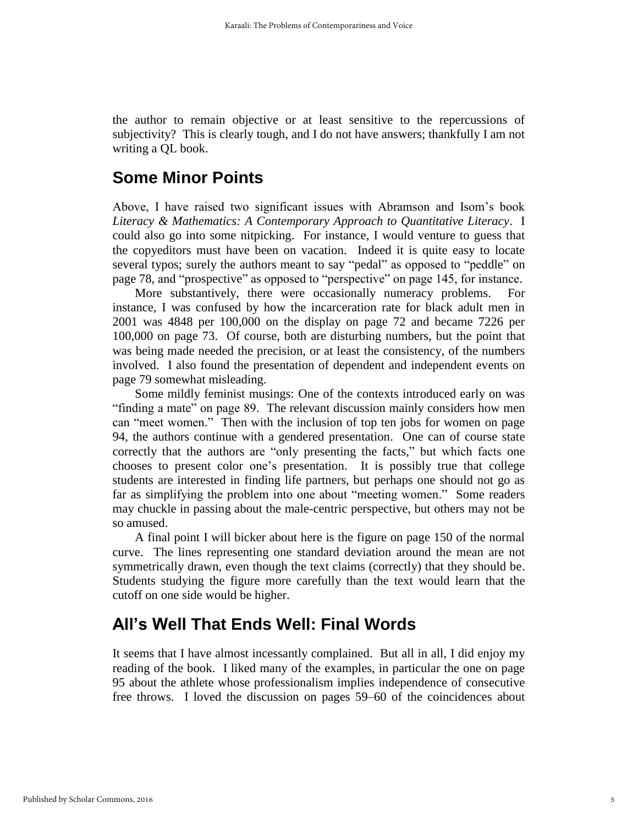the author to remain objective or at least sensitive to the repercussions of subjectivity? This is clearly tough, and I do not have answers; thankfully I am not writing a QL book.

### **Some Minor Points**

Above, I have raised two significant issues with Abramson and Isom's book *Literacy & Mathematics: A Contemporary Approach to Quantitative Literacy*. I could also go into some nitpicking. For instance, I would venture to guess that the copyeditors must have been on vacation. Indeed it is quite easy to locate several typos; surely the authors meant to say "pedal" as opposed to "peddle" on page 78, and "prospective" as opposed to "perspective" on page 145, for instance.

More substantively, there were occasionally numeracy problems. For instance, I was confused by how the incarceration rate for black adult men in 2001 was 4848 per 100,000 on the display on page 72 and became 7226 per 100,000 on page 73. Of course, both are disturbing numbers, but the point that was being made needed the precision, or at least the consistency, of the numbers involved. I also found the presentation of dependent and independent events on page 79 somewhat misleading.

Some mildly feminist musings: One of the contexts introduced early on was "finding a mate" on page 89. The relevant discussion mainly considers how men can "meet women." Then with the inclusion of top ten jobs for women on page 94, the authors continue with a gendered presentation. One can of course state correctly that the authors are "only presenting the facts," but which facts one chooses to present color one's presentation. It is possibly true that college students are interested in finding life partners, but perhaps one should not go as far as simplifying the problem into one about "meeting women." Some readers may chuckle in passing about the male-centric perspective, but others may not be so amused.

A final point I will bicker about here is the figure on page 150 of the normal curve. The lines representing one standard deviation around the mean are not symmetrically drawn, even though the text claims (correctly) that they should be. Students studying the figure more carefully than the text would learn that the cutoff on one side would be higher.

# **All's Well That Ends Well: Final Words**

It seems that I have almost incessantly complained. But all in all, I did enjoy my reading of the book. I liked many of the examples, in particular the one on page 95 about the athlete whose professionalism implies independence of consecutive free throws. I loved the discussion on pages 59–60 of the coincidences about